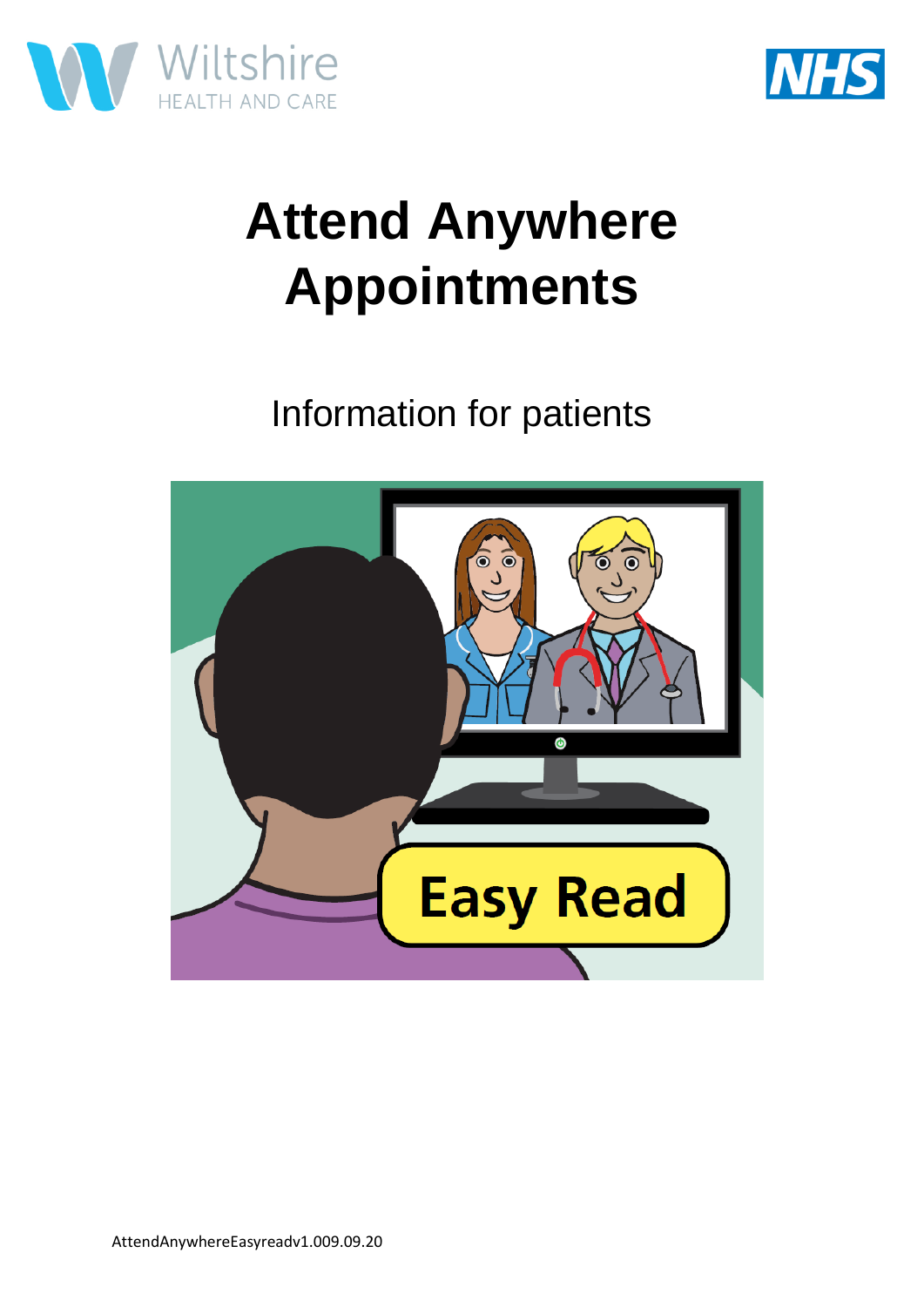



## **Attend Anywhere Appointments**

Information for patients

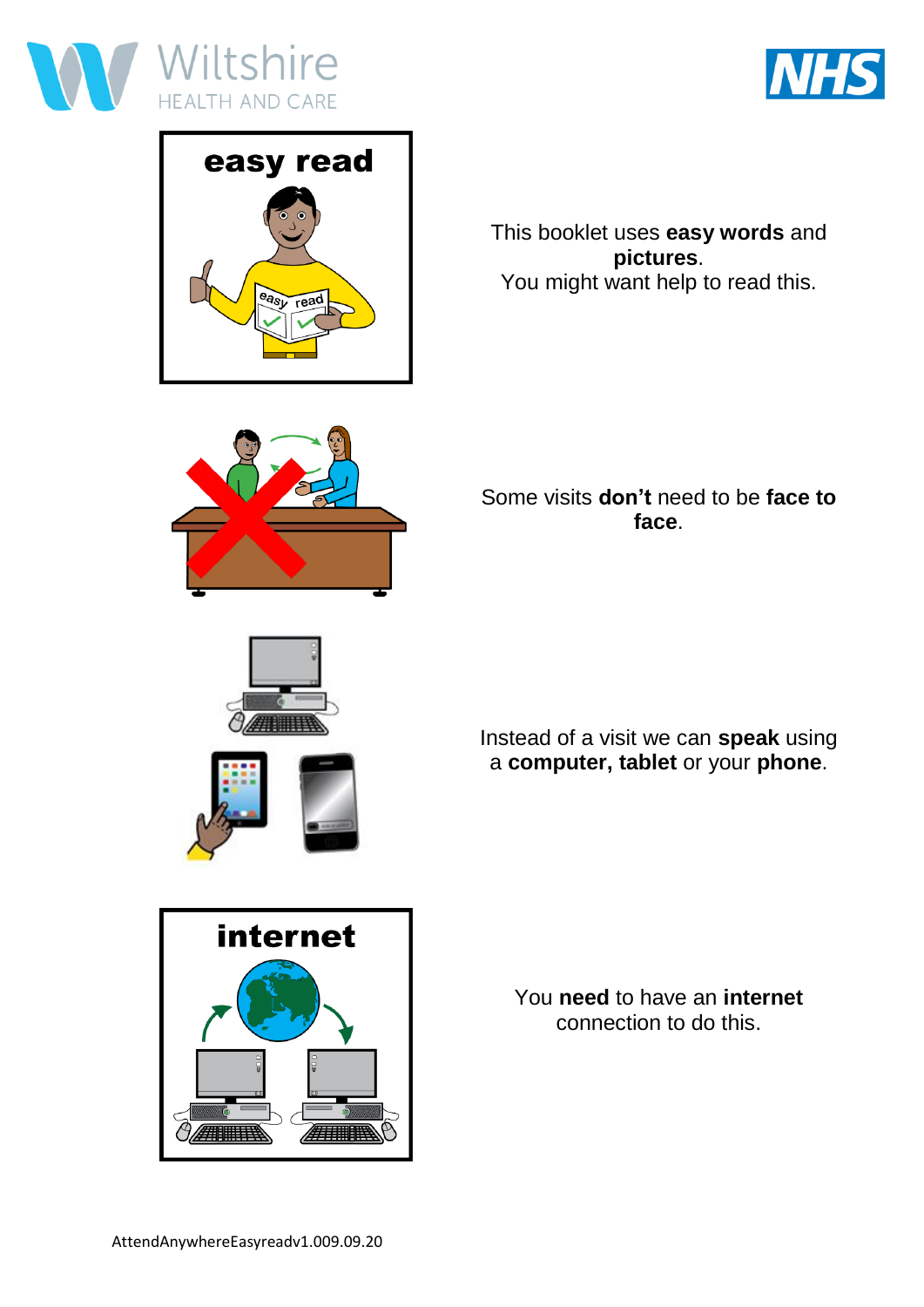





This booklet uses **easy words** and **pictures**. You might want help to read this.



Some visits **don't** need to be **face to face**.





Instead of a visit we can **speak** using a **computer, tablet** or your **phone**.



You **need** to have an **internet** connection to do this.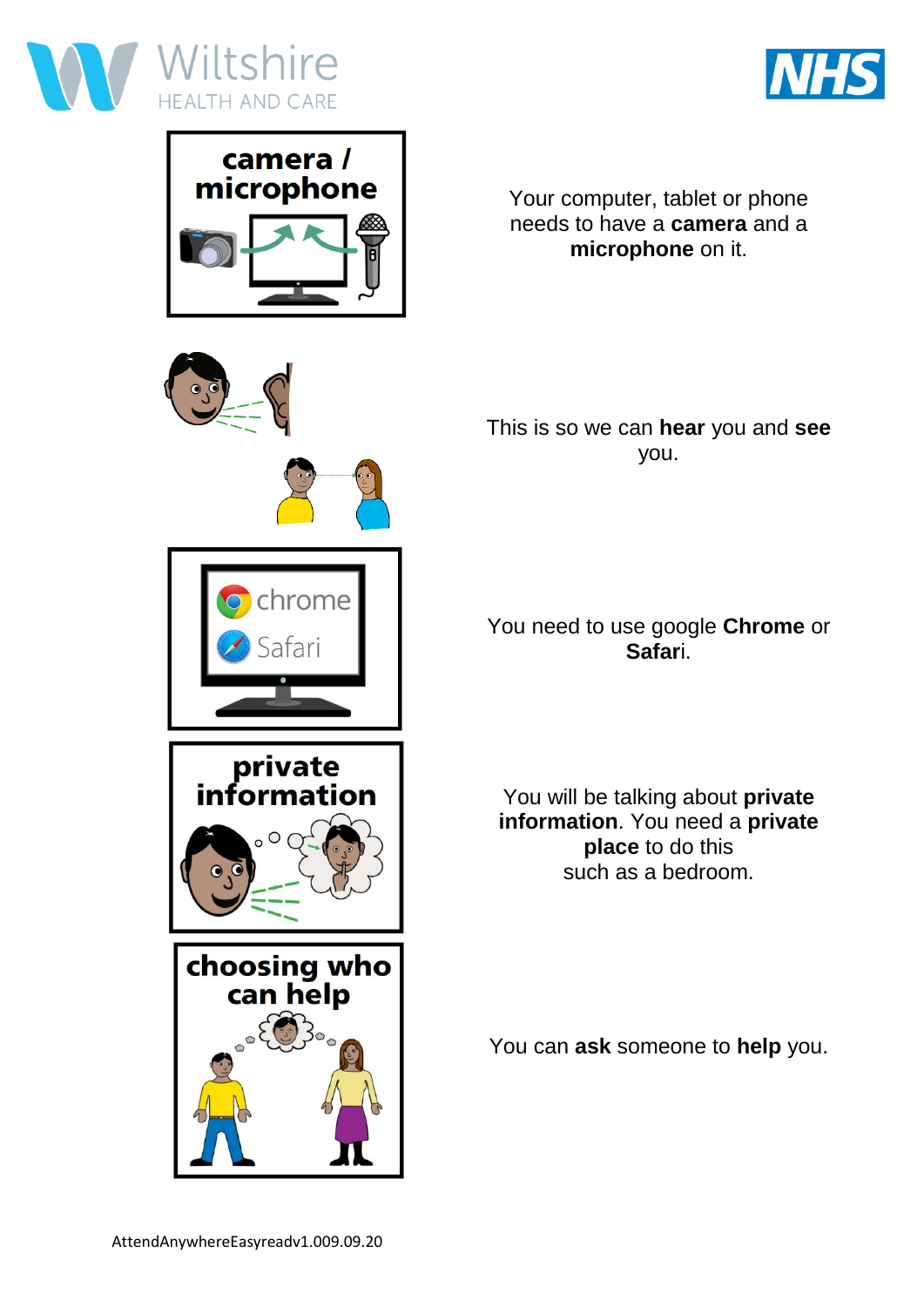





chrome

private information

 $\circ$ 

Your computer, tablet or phone needs to have a **camera** and a **microphone** on it.



## You need to use google **Chrome** or **Safar**i.

You will be talking about **private information**. You need a **private place** to do this such as a bedroom.



You can **ask** someone to **help** you.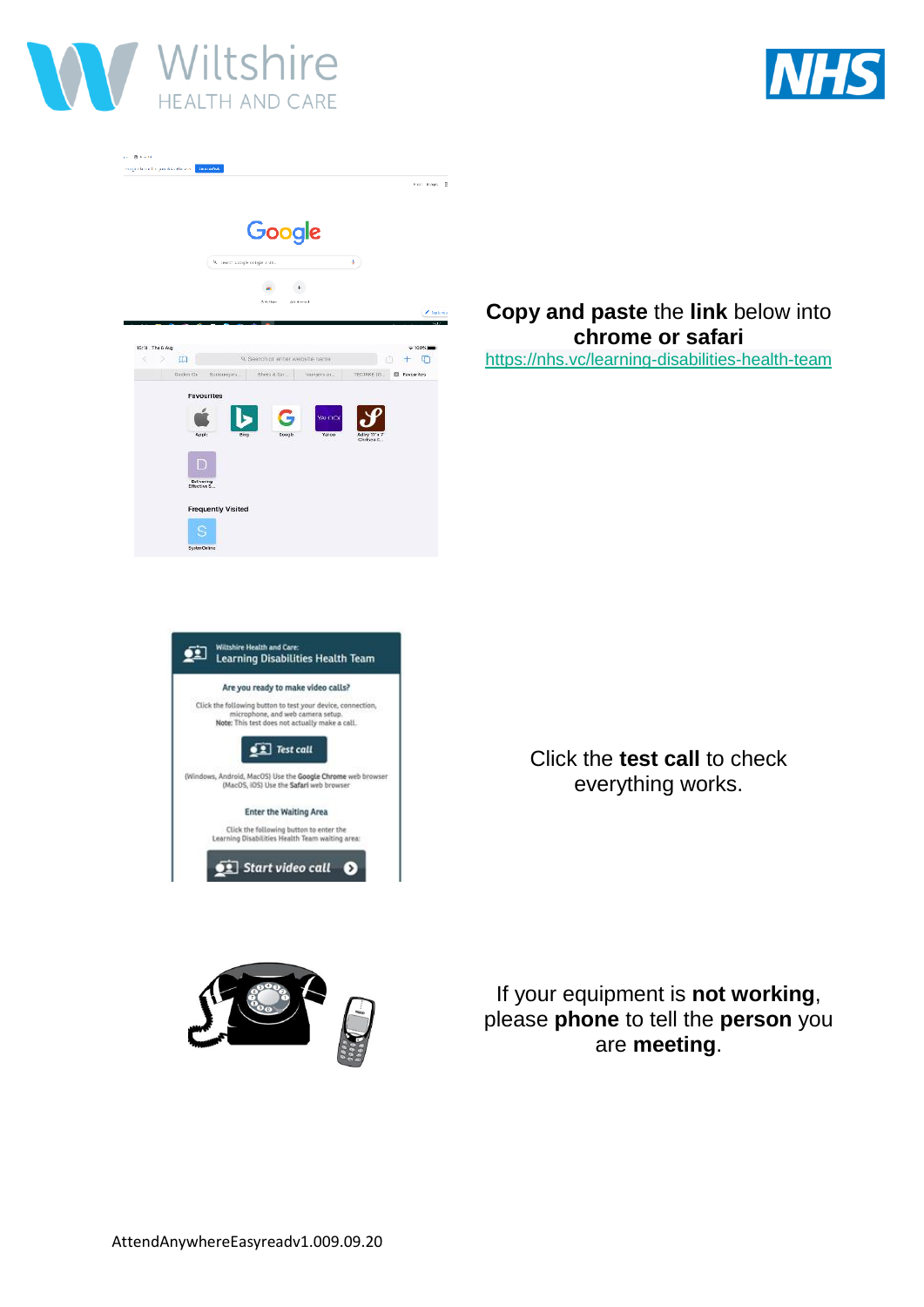



|           |                                   |                                  |                                      | God Linners B |
|-----------|-----------------------------------|----------------------------------|--------------------------------------|---------------|
|           |                                   | Google                           |                                      |               |
|           | Q. Search Coogle or type a URL    |                                  | ÷.                                   |               |
|           |                                   | $+$                              |                                      |               |
|           |                                   | WebSires<br><b>Arist showing</b> |                                      | $Z$ tusterior |
| Bardon Ch | Sunformance.<br><b>Favourites</b> | sheds a dur.                     | TECTAKE LD.<br>TOMOGRN'S GILL        | El Fevourites |
|           |                                   |                                  | <b>YAFFOOT</b>                       |               |
|           | Resplit<br><b>Barm</b>            | Coople                           | Yunco<br>Adley 31's 7<br>Christen E. |               |
|           | D<br>Delivering<br>Effective S.L. |                                  |                                      |               |

## **Copy and paste** the **link** below into **chrome or safari** <https://nhs.vc/learning-disabilities-health-team>



Click the **test call** to check everything works.



If your equipment is **not working**, please **phone** to tell the **person** you are **meeting**.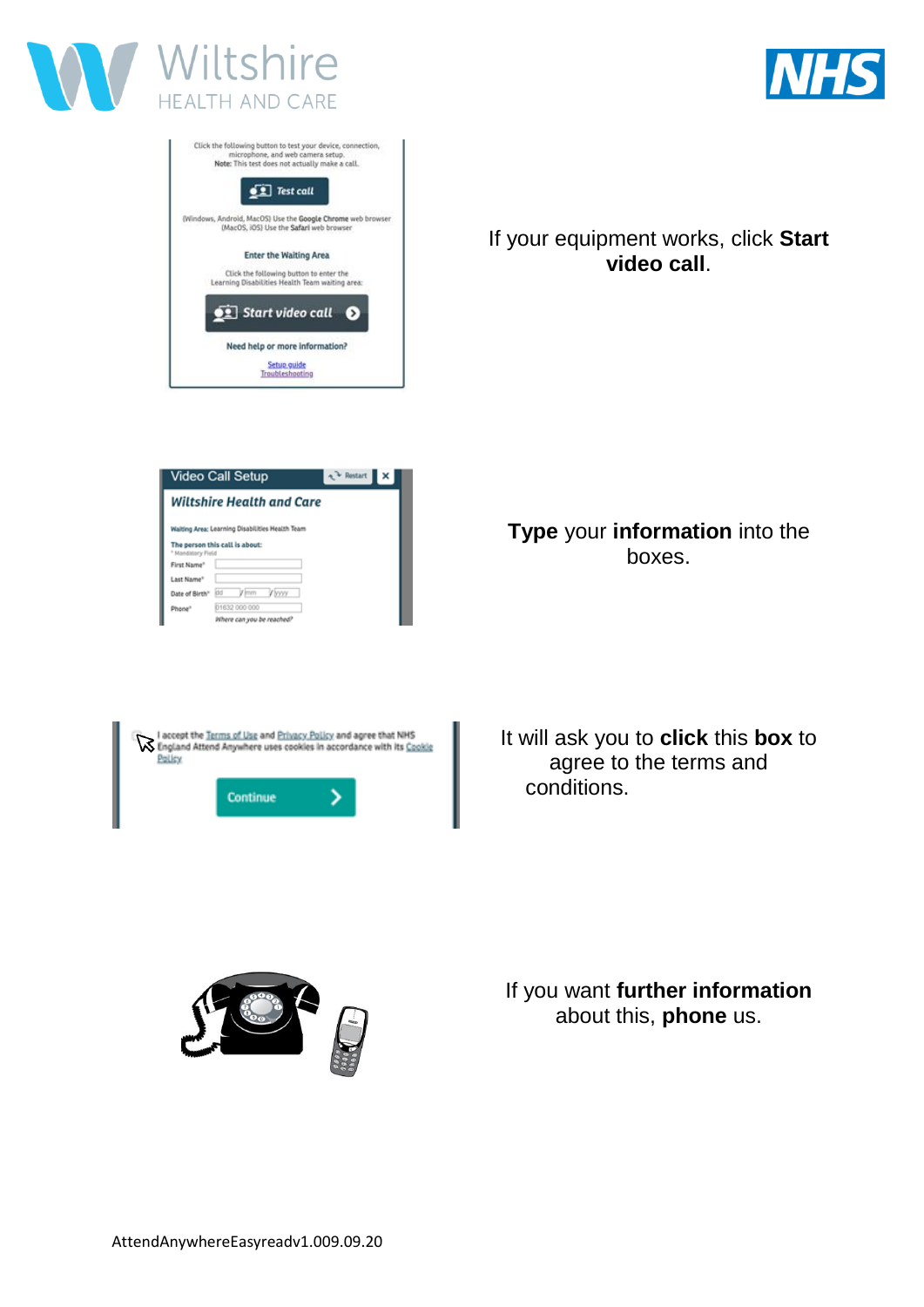





If your equipment works, click **Start video call**.

| Video Call Setup                                               |      |                           |        | $\sim$ Pestart |  |
|----------------------------------------------------------------|------|---------------------------|--------|----------------|--|
| Wiltshire Health and Care                                      |      |                           |        |                |  |
| Walting Area: Learning Disabilities Health Team                |      |                           |        |                |  |
| The person this call is about:<br><sup>*</sup> Mandatory Field |      |                           |        |                |  |
| First Name <sup>®</sup>                                        |      |                           |        |                |  |
| Last Name <sup>®</sup>                                         |      |                           |        |                |  |
| Date of Birth"                                                 | idd. | / jmm                     | Vivoro |                |  |
| Phone <sup>®</sup>                                             |      | 01632 000 000             |        |                |  |
|                                                                |      | Where can you be reached? |        |                |  |

I accept the Terms of Use and Privacy Policy and agree that NHS<br>England Attend Anywhere uses cookies in accordance with its Cookie Policy Ś Continue

**Type** your **information** into the boxes.

It will ask you to **click** this **box** to agree to the terms and conditions.



If you want **further information** about this, **phone** us.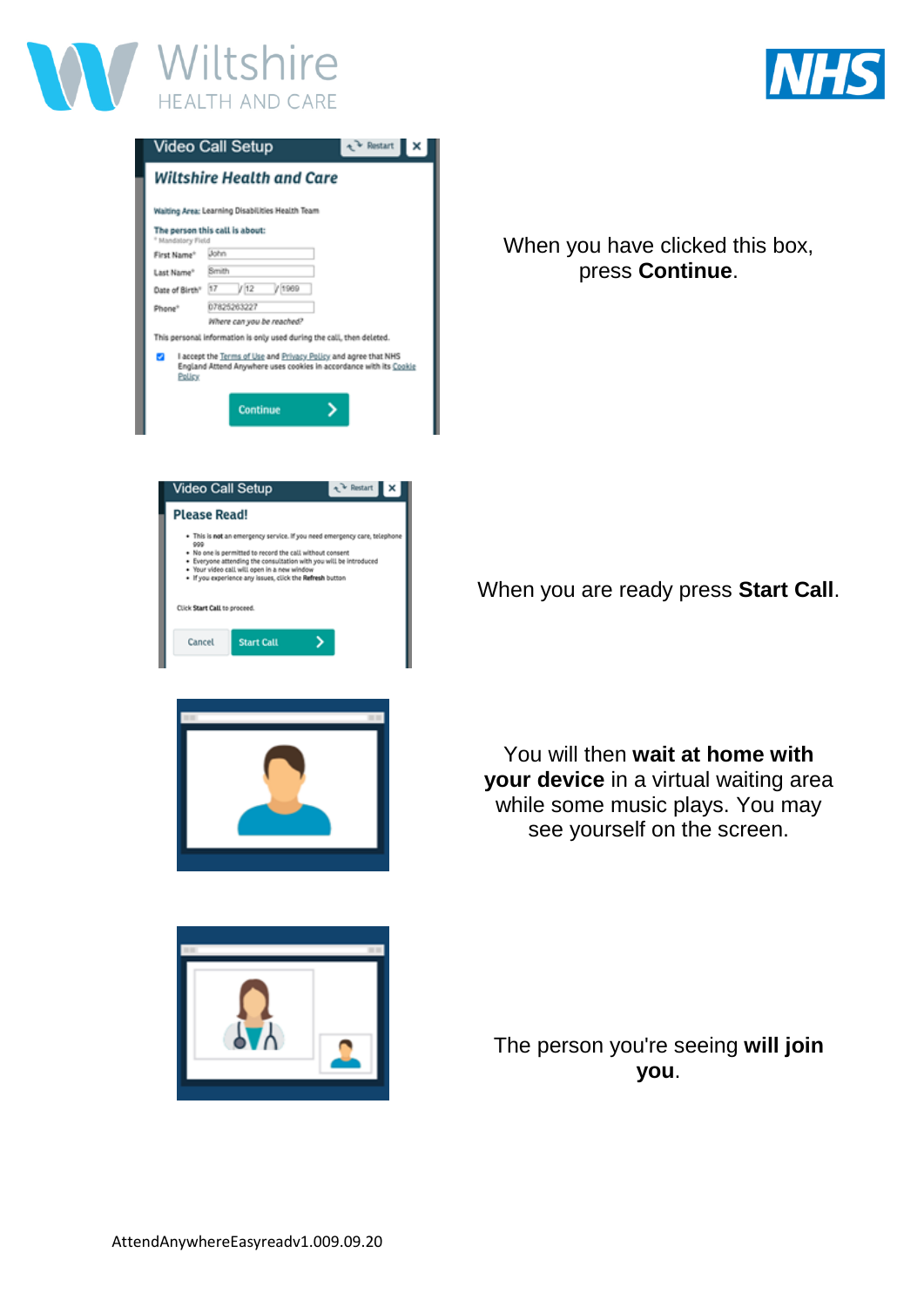

|--|

|                        | Video Call Setup                                                                                                                                                                                                                                                                                                      | + Pestart |  |
|------------------------|-----------------------------------------------------------------------------------------------------------------------------------------------------------------------------------------------------------------------------------------------------------------------------------------------------------------------|-----------|--|
|                        | <b>Wiltshire Health and Care</b>                                                                                                                                                                                                                                                                                      |           |  |
|                        | Waiting Area: Learning Disabilities Health Team                                                                                                                                                                                                                                                                       |           |  |
| * Mandatory Field      | The person this call is about:                                                                                                                                                                                                                                                                                        |           |  |
| First Name*            | <b>Uohn</b>                                                                                                                                                                                                                                                                                                           |           |  |
| Last Name <sup>+</sup> | Smith                                                                                                                                                                                                                                                                                                                 |           |  |
| Date of Birth"         | /12<br>/ 1969<br>17                                                                                                                                                                                                                                                                                                   |           |  |
| Phone <sup>+</sup>     | 07825263227                                                                                                                                                                                                                                                                                                           |           |  |
|                        | Where can you be reached?                                                                                                                                                                                                                                                                                             |           |  |
|                        | This personal information is only used during the call, then deleted.                                                                                                                                                                                                                                                 |           |  |
| 9<br>Policy            | I accept the Terms of Use and Privacy Policy and agree that NHS<br>England Attend Anywhere uses cookies in accordance with its Cookie                                                                                                                                                                                 |           |  |
|                        | Continue                                                                                                                                                                                                                                                                                                              |           |  |
|                        | <b>Video Call Setup</b>                                                                                                                                                                                                                                                                                               | Pestart   |  |
|                        | <b>Please Read!</b>                                                                                                                                                                                                                                                                                                   |           |  |
| 999                    | . This is not an emergency service. If you need emergency care, telephone<br>. No one is permitted to record the call without consent<br>. Everyone attending the consultation with you will be introduced<br>. Your video call will open in a new window<br>. If you experience any issues, click the Refresh button |           |  |
|                        | Click Start Call to proceed.                                                                                                                                                                                                                                                                                          |           |  |
| Cancel                 | <b>Start Call</b>                                                                                                                                                                                                                                                                                                     |           |  |
|                        |                                                                                                                                                                                                                                                                                                                       |           |  |

When you have clicked this box, press **Continue**.

When you are ready press **Start Call**.



You will then **wait at home with your device** in a virtual waiting area while some music plays. You may see yourself on the screen.



The person you're seeing **will join you**.